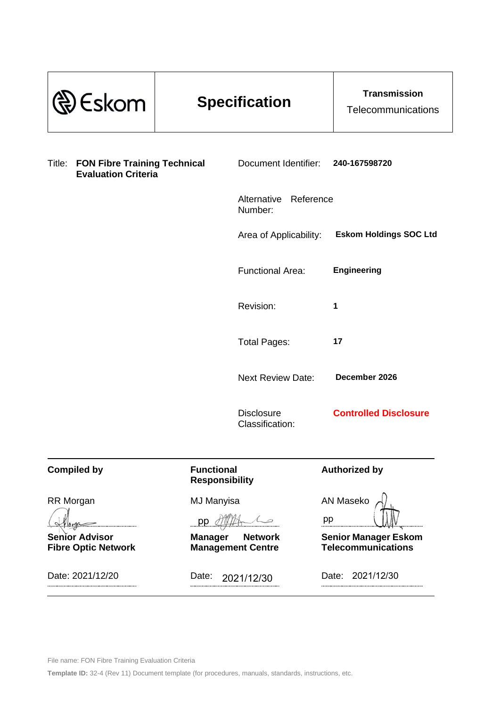| <b>Eskom</b>                                                                |                                            | <b>Specification</b>                       | <b>Transmission</b><br>Telecommunications                |
|-----------------------------------------------------------------------------|--------------------------------------------|--------------------------------------------|----------------------------------------------------------|
| <b>FON Fibre Training Technical</b><br>Title:<br><b>Evaluation Criteria</b> |                                            | Document Identifier:                       | 240-167598720                                            |
|                                                                             |                                            | Alternative<br>Reference<br>Number:        |                                                          |
|                                                                             |                                            | Area of Applicability:                     | <b>Eskom Holdings SOC Ltd</b>                            |
|                                                                             |                                            | <b>Functional Area:</b>                    | <b>Engineering</b>                                       |
|                                                                             |                                            | Revision:                                  | 1                                                        |
|                                                                             |                                            | <b>Total Pages:</b>                        | 17                                                       |
|                                                                             |                                            | <b>Next Review Date:</b>                   | December 2026                                            |
|                                                                             |                                            | <b>Disclosure</b><br>Classification:       | <b>Controlled Disclosure</b>                             |
| <b>Compiled by</b>                                                          | <b>Functional</b><br><b>Responsibility</b> |                                            | <b>Authorized by</b>                                     |
| RR Morgan                                                                   | <b>MJ Manyisa</b><br>pp                    |                                            | <b>AN Maseko</b><br>pp                                   |
| <b>Senior Advisor</b><br><b>Fibre Optic Network</b>                         | <b>Manager</b>                             | <b>Network</b><br><b>Management Centre</b> | <b>Senior Manager Eskom</b><br><b>Telecommunications</b> |
| Date: 2021/12/20                                                            | Date:<br>2021/12/30                        |                                            | 2021/12/30<br>Date:                                      |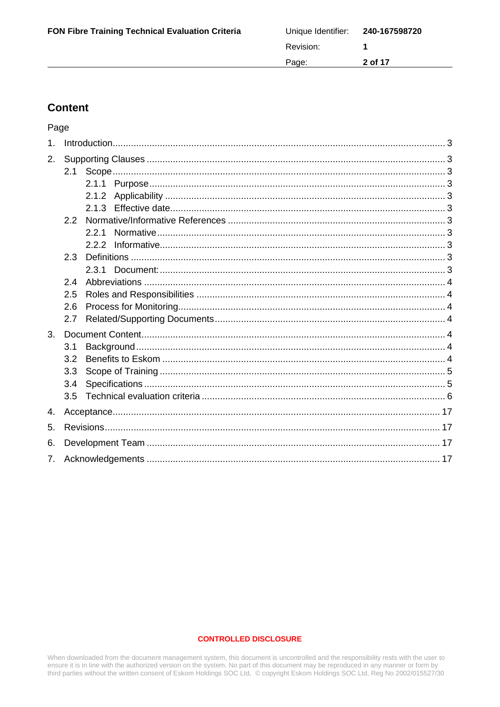| <b>FON Fibre Training Technical Evaluation Criteria</b> | Unique Identifier: 240-167598720 |         |
|---------------------------------------------------------|----------------------------------|---------|
|                                                         | Revision:                        |         |
|                                                         | Page:                            | 2 of 17 |
|                                                         |                                  |         |

# **Content**

Page

| 1.             |     |       |  |
|----------------|-----|-------|--|
| 2.             |     |       |  |
|                |     |       |  |
|                |     |       |  |
|                |     |       |  |
|                |     |       |  |
|                | 2.2 |       |  |
|                |     | 2.2.1 |  |
|                |     |       |  |
|                | 2.3 |       |  |
|                |     | 2.3.1 |  |
|                | 2.4 |       |  |
|                | 2.5 |       |  |
|                | 2.6 |       |  |
|                | 2.7 |       |  |
| 3.             |     |       |  |
|                | 3.1 |       |  |
|                | 3.2 |       |  |
|                | 3.3 |       |  |
|                | 3.4 |       |  |
|                | 3.5 |       |  |
| 4.             |     |       |  |
| 5.             |     |       |  |
| 6.             |     |       |  |
| 7 <sub>1</sub> |     |       |  |

### **CONTROLLED DISCLOSURE**

When downloaded from the document management system, this document is uncontrolled and the responsibility rests with the user to ensure it is in line with the authorized version on the system. No part of this document may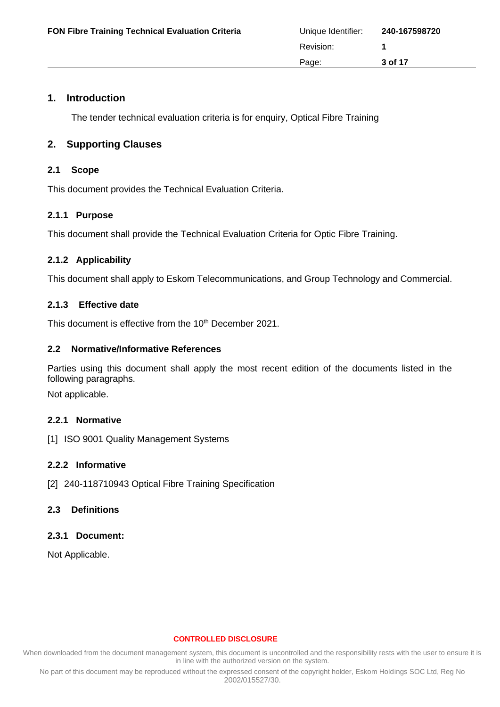# <span id="page-2-0"></span>**1. Introduction**

The tender technical evaluation criteria is for enquiry, Optical Fibre Training

# <span id="page-2-1"></span>**2. Supporting Clauses**

## <span id="page-2-2"></span>**2.1 Scope**

This document provides the Technical Evaluation Criteria.

# <span id="page-2-3"></span>**2.1.1 Purpose**

This document shall provide the Technical Evaluation Criteria for Optic Fibre Training.

# <span id="page-2-4"></span>**2.1.2 Applicability**

This document shall apply to Eskom Telecommunications, and Group Technology and Commercial.

# <span id="page-2-5"></span>**2.1.3 Effective date**

This document is effective from the 10<sup>th</sup> December 2021.

### <span id="page-2-6"></span>**2.2 Normative/Informative References**

Parties using this document shall apply the most recent edition of the documents listed in the following paragraphs.

Not applicable.

# <span id="page-2-7"></span>**2.2.1 Normative**

[1] ISO 9001 Quality Management Systems

# <span id="page-2-8"></span>**2.2.2 Informative**

[2] 240-118710943 Optical Fibre Training Specification

# <span id="page-2-9"></span>**2.3 Definitions**

# <span id="page-2-10"></span>**2.3.1 Document:**

Not Applicable.

### **CONTROLLED DISCLOSURE**

When downloaded from the document management system, this document is uncontrolled and the responsibility rests with the user to ensure it is in line with the authorized version on the system.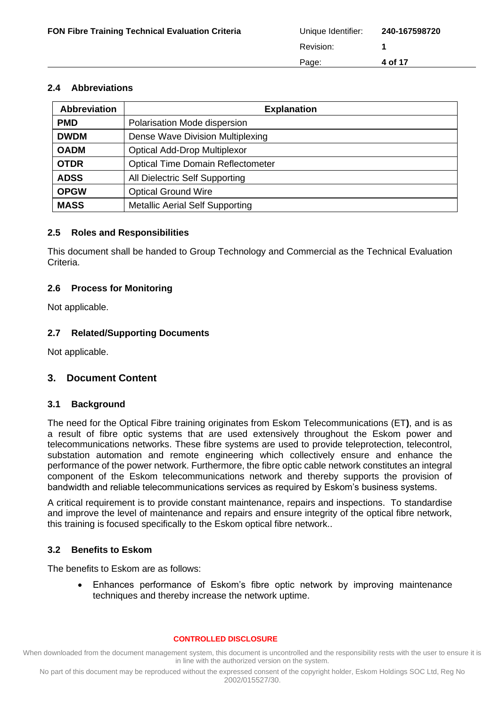### <span id="page-3-0"></span>**2.4 Abbreviations**

| <b>Abbreviation</b> | <b>Explanation</b>                       |
|---------------------|------------------------------------------|
| <b>PMD</b>          | Polarisation Mode dispersion             |
| <b>DWDM</b>         | Dense Wave Division Multiplexing         |
| <b>OADM</b>         | <b>Optical Add-Drop Multiplexor</b>      |
| <b>OTDR</b>         | <b>Optical Time Domain Reflectometer</b> |
| <b>ADSS</b>         | All Dielectric Self Supporting           |
| <b>OPGW</b>         | <b>Optical Ground Wire</b>               |
| <b>MASS</b>         | <b>Metallic Aerial Self Supporting</b>   |

### <span id="page-3-1"></span>**2.5 Roles and Responsibilities**

This document shall be handed to Group Technology and Commercial as the Technical Evaluation Criteria.

### <span id="page-3-2"></span>**2.6 Process for Monitoring**

Not applicable.

### <span id="page-3-3"></span>**2.7 Related/Supporting Documents**

Not applicable.

# <span id="page-3-4"></span>**3. Document Content**

### <span id="page-3-5"></span>**3.1 Background**

The need for the Optical Fibre training originates from Eskom Telecommunications (ET**)**, and is as a result of fibre optic systems that are used extensively throughout the Eskom power and telecommunications networks. These fibre systems are used to provide teleprotection, telecontrol, substation automation and remote engineering which collectively ensure and enhance the performance of the power network. Furthermore, the fibre optic cable network constitutes an integral component of the Eskom telecommunications network and thereby supports the provision of bandwidth and reliable telecommunications services as required by Eskom's business systems.

A critical requirement is to provide constant maintenance, repairs and inspections. To standardise and improve the level of maintenance and repairs and ensure integrity of the optical fibre network, this training is focused specifically to the Eskom optical fibre network..

# <span id="page-3-6"></span>**3.2 Benefits to Eskom**

The benefits to Eskom are as follows:

• Enhances performance of Eskom's fibre optic network by improving maintenance techniques and thereby increase the network uptime.

### **CONTROLLED DISCLOSURE**

When downloaded from the document management system, this document is uncontrolled and the responsibility rests with the user to ensure it is in line with the authorized version on the system.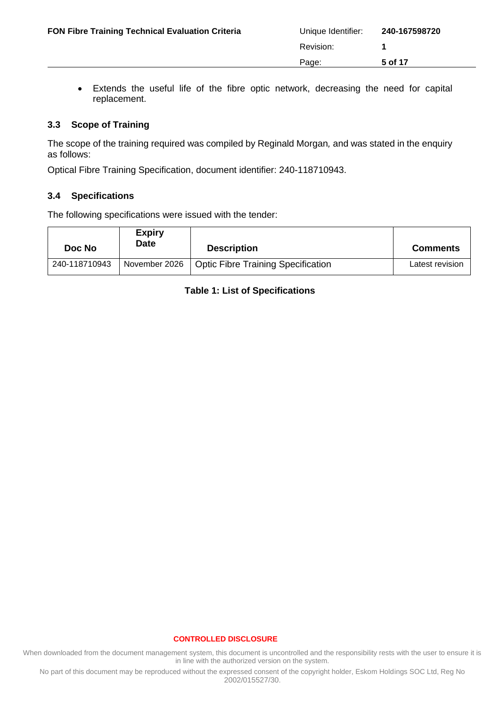• Extends the useful life of the fibre optic network, decreasing the need for capital replacement.

# <span id="page-4-0"></span>**3.3 Scope of Training**

The scope of the training required was compiled by Reginald Morgan*,* and was stated in the enquiry as follows:

Optical Fibre Training Specification, document identifier: 240-118710943.

### <span id="page-4-1"></span>**3.4 Specifications**

The following specifications were issued with the tender:

| Doc No        | <b>Expiry</b><br>Date | <b>Description</b>                 | <b>Comments</b> |
|---------------|-----------------------|------------------------------------|-----------------|
| 240-118710943 | November 2026         | Optic Fibre Training Specification | Latest revision |

# **Table 1: List of Specifications**

### **CONTROLLED DISCLOSURE**

When downloaded from the document management system, this document is uncontrolled and the responsibility rests with the user to ensure it is in line with the authorized version on the system.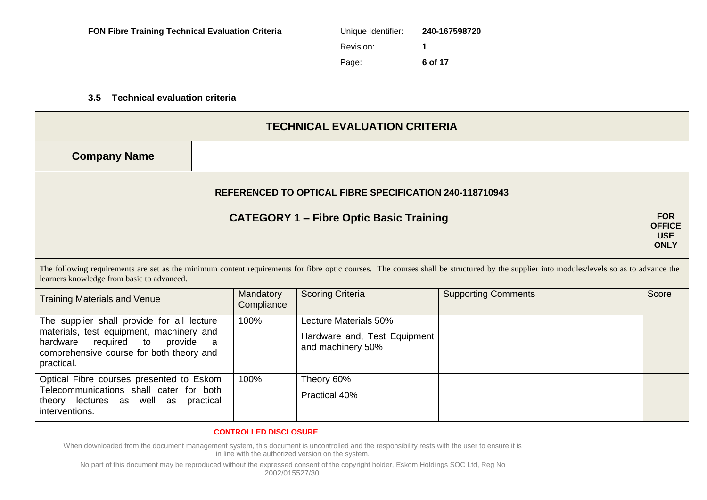| <b>FON Fibre Training Technical Evaluation Criteria</b> | Unique Identifier: | 240-167598720 |
|---------------------------------------------------------|--------------------|---------------|
|                                                         | Revision:          |               |
|                                                         | Page:              | 6 of 17       |

## **3.5 Technical evaluation criteria**

| <b>TECHNICAL EVALUATION CRITERIA</b>                                                                                                                                                   |           |                         |                                                                            |                                                                                                                                                                                          |                                                          |
|----------------------------------------------------------------------------------------------------------------------------------------------------------------------------------------|-----------|-------------------------|----------------------------------------------------------------------------|------------------------------------------------------------------------------------------------------------------------------------------------------------------------------------------|----------------------------------------------------------|
| <b>Company Name</b>                                                                                                                                                                    |           |                         |                                                                            |                                                                                                                                                                                          |                                                          |
|                                                                                                                                                                                        |           |                         | <b>REFERENCED TO OPTICAL FIBRE SPECIFICATION 240-118710943</b>             |                                                                                                                                                                                          |                                                          |
|                                                                                                                                                                                        |           |                         | <b>CATEGORY 1 – Fibre Optic Basic Training</b>                             |                                                                                                                                                                                          | <b>FOR</b><br><b>OFFICE</b><br><b>USE</b><br><b>ONLY</b> |
| learners knowledge from basic to advanced.                                                                                                                                             |           |                         |                                                                            | The following requirements are set as the minimum content requirements for fibre optic courses. The courses shall be structured by the supplier into modules/levels so as to advance the |                                                          |
| <b>Training Materials and Venue</b>                                                                                                                                                    |           | Mandatory<br>Compliance | <b>Scoring Criteria</b>                                                    | <b>Supporting Comments</b>                                                                                                                                                               | Score                                                    |
| The supplier shall provide for all lecture<br>materials, test equipment, machinery and<br>required to<br>provide<br>hardware<br>comprehensive course for both theory and<br>practical. | - a       | 100%                    | Lecture Materials 50%<br>Hardware and, Test Equipment<br>and machinery 50% |                                                                                                                                                                                          |                                                          |
| Optical Fibre courses presented to Eskom<br>Telecommunications shall cater for both<br>theory lectures as well as<br>interventions.                                                    | practical | 100%                    | Theory 60%<br>Practical 40%                                                |                                                                                                                                                                                          |                                                          |

#### **CONTROLLED DISCLOSURE**

<span id="page-5-0"></span>When downloaded from the document management system, this document is uncontrolled and the responsibility rests with the user to ensure it is in line with the authorized version on the system.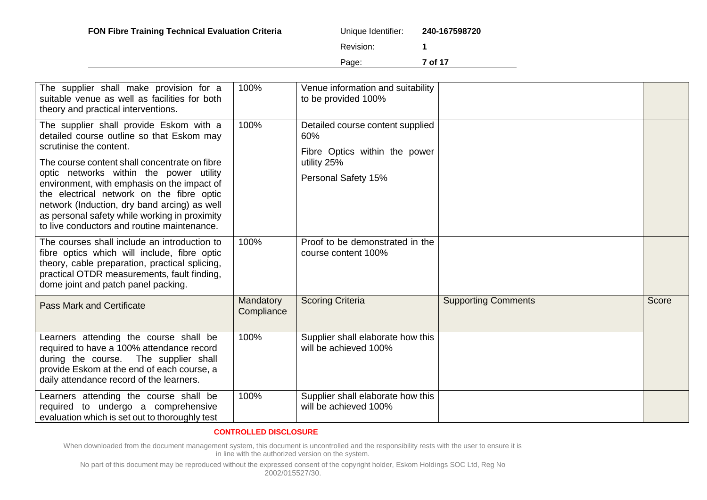| ique Identifier: | 240-167598720 |
|------------------|---------------|
|                  |               |

Page: **7 of 17**

| The supplier shall make provision for a<br>suitable venue as well as facilities for both<br>theory and practical interventions.                                                                                                                                                                                                                                                                                                                         | 100%                    | Venue information and suitability<br>to be provided 100%                                                       |                            |       |
|---------------------------------------------------------------------------------------------------------------------------------------------------------------------------------------------------------------------------------------------------------------------------------------------------------------------------------------------------------------------------------------------------------------------------------------------------------|-------------------------|----------------------------------------------------------------------------------------------------------------|----------------------------|-------|
| The supplier shall provide Eskom with a<br>detailed course outline so that Eskom may<br>scrutinise the content.<br>The course content shall concentrate on fibre<br>optic networks within the power utility<br>environment, with emphasis on the impact of<br>the electrical network on the fibre optic<br>network (Induction, dry band arcing) as well<br>as personal safety while working in proximity<br>to live conductors and routine maintenance. | 100%                    | Detailed course content supplied<br>60%<br>Fibre Optics within the power<br>utility 25%<br>Personal Safety 15% |                            |       |
| The courses shall include an introduction to<br>fibre optics which will include, fibre optic<br>theory, cable preparation, practical splicing,<br>practical OTDR measurements, fault finding,<br>dome joint and patch panel packing.                                                                                                                                                                                                                    | 100%                    | Proof to be demonstrated in the<br>course content 100%                                                         |                            |       |
| <b>Pass Mark and Certificate</b>                                                                                                                                                                                                                                                                                                                                                                                                                        | Mandatory<br>Compliance | <b>Scoring Criteria</b>                                                                                        | <b>Supporting Comments</b> | Score |
| Learners attending the course shall be<br>required to have a 100% attendance record<br>during the course. The supplier shall<br>provide Eskom at the end of each course, a<br>daily attendance record of the learners.                                                                                                                                                                                                                                  | 100%                    | Supplier shall elaborate how this<br>will be achieved 100%                                                     |                            |       |
| Learners attending the course shall be<br>required to undergo a comprehensive<br>evaluation which is set out to thoroughly test                                                                                                                                                                                                                                                                                                                         | 100%                    | Supplier shall elaborate how this<br>will be achieved 100%                                                     |                            |       |

### **CONTROLLED DISCLOSURE**

When downloaded from the document management system, this document is uncontrolled and the responsibility rests with the user to ensure it is in line with the authorized version on the system.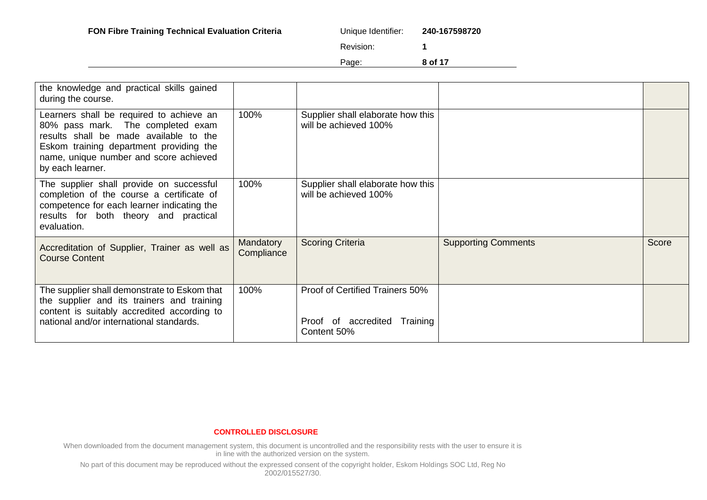Page: **8 of 17**

| the knowledge and practical skills gained<br>during the course.                                                                                                                                                                  |                         |                                                                                |                            |       |
|----------------------------------------------------------------------------------------------------------------------------------------------------------------------------------------------------------------------------------|-------------------------|--------------------------------------------------------------------------------|----------------------------|-------|
| Learners shall be required to achieve an<br>80% pass mark. The completed exam<br>results shall be made available to the<br>Eskom training department providing the<br>name, unique number and score achieved<br>by each learner. | 100%                    | Supplier shall elaborate how this<br>will be achieved 100%                     |                            |       |
| The supplier shall provide on successful<br>completion of the course a certificate of<br>competence for each learner indicating the<br>results for both theory and practical<br>evaluation.                                      | 100%                    | Supplier shall elaborate how this<br>will be achieved 100%                     |                            |       |
| Accreditation of Supplier, Trainer as well as<br><b>Course Content</b>                                                                                                                                                           | Mandatory<br>Compliance | <b>Scoring Criteria</b>                                                        | <b>Supporting Comments</b> | Score |
| The supplier shall demonstrate to Eskom that<br>the supplier and its trainers and training<br>content is suitably accredited according to<br>national and/or international standards.                                            | 100%                    | Proof of Certified Trainers 50%<br>Proof of accredited Training<br>Content 50% |                            |       |

### **CONTROLLED DISCLOSURE**

When downloaded from the document management system, this document is uncontrolled and the responsibility rests with the user to ensure it is in line with the authorized version on the system.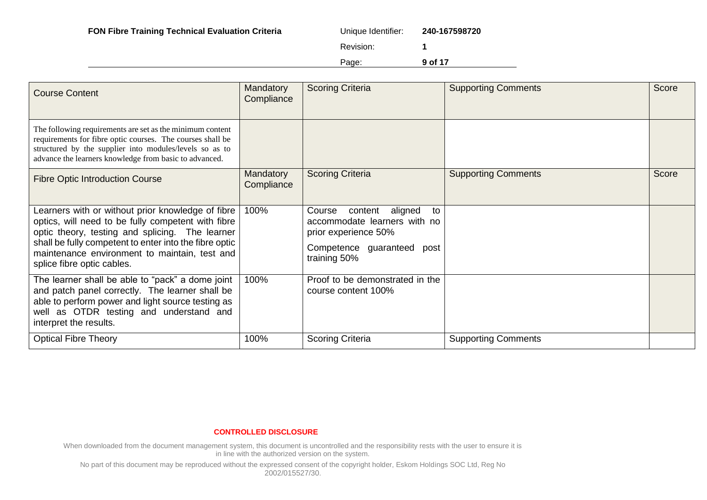| FON Fibre Training Technical Evaluation Criteria<br>Unique Identifier: | 240-167598720 |
|------------------------------------------------------------------------|---------------|
|------------------------------------------------------------------------|---------------|

| iue Identifier: | 240-167598720 |
|-----------------|---------------|
|                 |               |

Page: **9 of 17**

| <b>Course Content</b>                                                                                                                                                                                                                                                                               | Mandatory<br>Compliance | <b>Scoring Criteria</b>                                                                                                                  | <b>Supporting Comments</b> | Score |
|-----------------------------------------------------------------------------------------------------------------------------------------------------------------------------------------------------------------------------------------------------------------------------------------------------|-------------------------|------------------------------------------------------------------------------------------------------------------------------------------|----------------------------|-------|
| The following requirements are set as the minimum content<br>requirements for fibre optic courses. The courses shall be<br>structured by the supplier into modules/levels so as to<br>advance the learners knowledge from basic to advanced.                                                        |                         |                                                                                                                                          |                            |       |
| <b>Fibre Optic Introduction Course</b>                                                                                                                                                                                                                                                              | Mandatory<br>Compliance | <b>Scoring Criteria</b>                                                                                                                  | <b>Supporting Comments</b> | Score |
| Learners with or without prior knowledge of fibre<br>optics, will need to be fully competent with fibre<br>optic theory, testing and splicing. The learner<br>shall be fully competent to enter into the fibre optic<br>maintenance environment to maintain, test and<br>splice fibre optic cables. | 100%                    | content<br>aligned<br>Course<br>to<br>accommodate learners with no<br>prior experience 50%<br>Competence guaranteed post<br>training 50% |                            |       |
| The learner shall be able to "pack" a dome joint<br>and patch panel correctly. The learner shall be<br>able to perform power and light source testing as<br>well as OTDR testing and understand and<br>interpret the results.                                                                       | 100%                    | Proof to be demonstrated in the<br>course content 100%                                                                                   |                            |       |
| <b>Optical Fibre Theory</b>                                                                                                                                                                                                                                                                         | 100%                    | <b>Scoring Criteria</b>                                                                                                                  | <b>Supporting Comments</b> |       |

#### **CONTROLLED DISCLOSURE**

When downloaded from the document management system, this document is uncontrolled and the responsibility rests with the user to ensure it is in line with the authorized version on the system.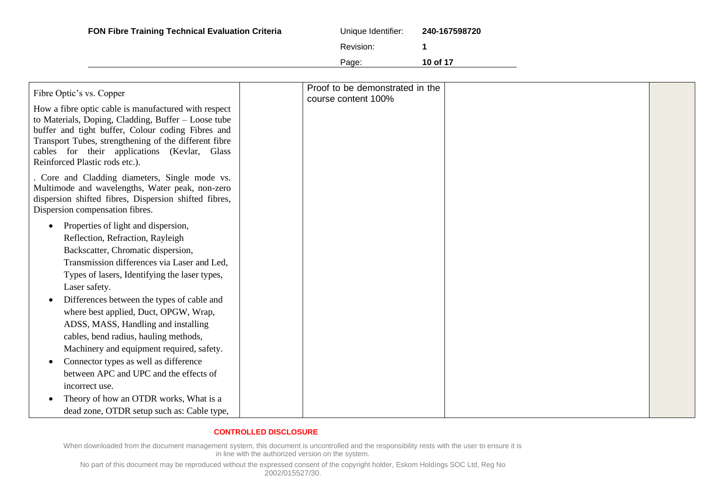| <b>FON Fibre Training Technical Evaluation Criteria</b> | Unique Identifier: | 240-167598720 |
|---------------------------------------------------------|--------------------|---------------|
|                                                         | Revision:          |               |
|                                                         | Page:              | 10 of 17      |

| Proof to be demonstrated in the                                                                                                                                                                                                                                                                             |  |
|-------------------------------------------------------------------------------------------------------------------------------------------------------------------------------------------------------------------------------------------------------------------------------------------------------------|--|
| Fibre Optic's vs. Copper<br>course content 100%                                                                                                                                                                                                                                                             |  |
| How a fibre optic cable is manufactured with respect<br>to Materials, Doping, Cladding, Buffer – Loose tube<br>buffer and tight buffer, Colour coding Fibres and<br>Transport Tubes, strengthening of the different fibre<br>cables for their applications (Kevlar, Glass<br>Reinforced Plastic rods etc.). |  |
| Core and Cladding diameters, Single mode vs.<br>Multimode and wavelengths, Water peak, non-zero<br>dispersion shifted fibres, Dispersion shifted fibres,<br>Dispersion compensation fibres.                                                                                                                 |  |
| Properties of light and dispersion,<br>$\bullet$                                                                                                                                                                                                                                                            |  |
| Reflection, Refraction, Rayleigh                                                                                                                                                                                                                                                                            |  |
| Backscatter, Chromatic dispersion,                                                                                                                                                                                                                                                                          |  |
| Transmission differences via Laser and Led,                                                                                                                                                                                                                                                                 |  |
| Types of lasers, Identifying the laser types,                                                                                                                                                                                                                                                               |  |
| Laser safety.                                                                                                                                                                                                                                                                                               |  |
| Differences between the types of cable and                                                                                                                                                                                                                                                                  |  |
| where best applied, Duct, OPGW, Wrap,                                                                                                                                                                                                                                                                       |  |
| ADSS, MASS, Handling and installing                                                                                                                                                                                                                                                                         |  |
| cables, bend radius, hauling methods,                                                                                                                                                                                                                                                                       |  |
| Machinery and equipment required, safety.                                                                                                                                                                                                                                                                   |  |
| Connector types as well as difference                                                                                                                                                                                                                                                                       |  |
| between APC and UPC and the effects of                                                                                                                                                                                                                                                                      |  |
| incorrect use.                                                                                                                                                                                                                                                                                              |  |
| Theory of how an OTDR works, What is a                                                                                                                                                                                                                                                                      |  |
| dead zone, OTDR setup such as: Cable type,                                                                                                                                                                                                                                                                  |  |

When downloaded from the document management system, this document is uncontrolled and the responsibility rests with the user to ensure it is in line with the authorized version on the system.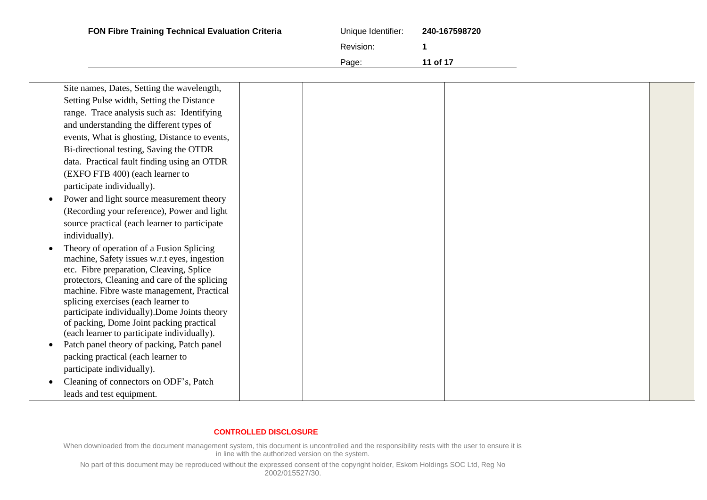| <b>FON Fibre Training Technical Evaluation Criteria</b> | Unique Identifier: | 240-167598720 |
|---------------------------------------------------------|--------------------|---------------|
|                                                         | Revision:          |               |
|                                                         | Page:              | 11 of 17      |

| Site names, Dates, Setting the wavelength,                                                |  |  |  |
|-------------------------------------------------------------------------------------------|--|--|--|
| Setting Pulse width, Setting the Distance                                                 |  |  |  |
| range. Trace analysis such as: Identifying                                                |  |  |  |
| and understanding the different types of                                                  |  |  |  |
| events, What is ghosting, Distance to events,                                             |  |  |  |
| Bi-directional testing, Saving the OTDR                                                   |  |  |  |
| data. Practical fault finding using an OTDR                                               |  |  |  |
| (EXFO FTB 400) (each learner to                                                           |  |  |  |
| participate individually).                                                                |  |  |  |
| Power and light source measurement theory                                                 |  |  |  |
| (Recording your reference), Power and light                                               |  |  |  |
| source practical (each learner to participate                                             |  |  |  |
| individually).                                                                            |  |  |  |
| Theory of operation of a Fusion Splicing                                                  |  |  |  |
| machine, Safety issues w.r.t eyes, ingestion                                              |  |  |  |
| etc. Fibre preparation, Cleaving, Splice                                                  |  |  |  |
| protectors, Cleaning and care of the splicing                                             |  |  |  |
| machine. Fibre waste management, Practical                                                |  |  |  |
| splicing exercises (each learner to                                                       |  |  |  |
| participate individually). Dome Joints theory<br>of packing, Dome Joint packing practical |  |  |  |
| (each learner to participate individually).                                               |  |  |  |
| Patch panel theory of packing, Patch panel                                                |  |  |  |
| packing practical (each learner to                                                        |  |  |  |
| participate individually).                                                                |  |  |  |
| Cleaning of connectors on ODF's, Patch                                                    |  |  |  |
| leads and test equipment.                                                                 |  |  |  |
|                                                                                           |  |  |  |

When downloaded from the document management system, this document is uncontrolled and the responsibility rests with the user to ensure it is in line with the authorized version on the system.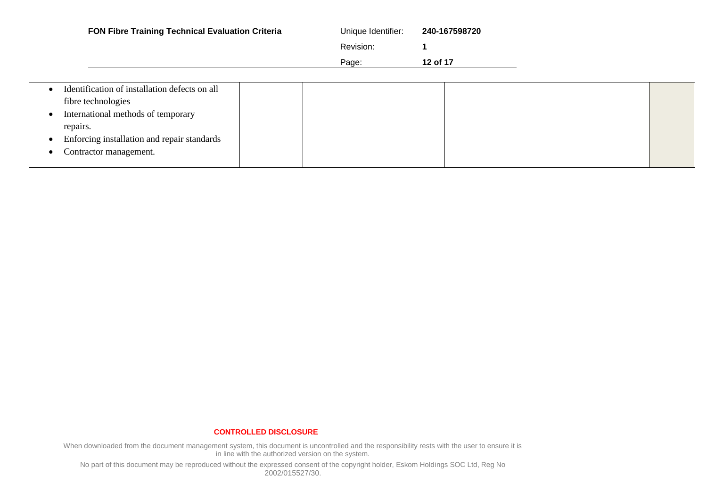| FON Fibre Training Technical Evaluation Criteria                                                          | Unique Identifier:<br>Revision:<br>Page: | 240-167598720<br>12 of 17 |  |
|-----------------------------------------------------------------------------------------------------------|------------------------------------------|---------------------------|--|
| Identification of installation defects on all<br>fibre technologies<br>International methods of temporary |                                          |                           |  |
| repairs.<br>Enforcing installation and repair standards<br>Contractor management.                         |                                          |                           |  |

When downloaded from the document management system, this document is uncontrolled and the responsibility rests with the user to ensure it is in line with the authorized version on the system.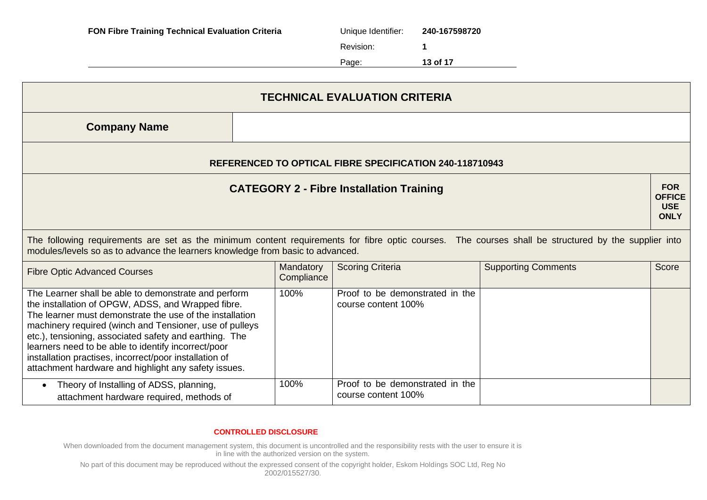| <b>FON Fibre Training Technical Evaluation Criteria</b> | Unique Identifier: | 240-167598720 |
|---------------------------------------------------------|--------------------|---------------|
|                                                         | Revision:          |               |
|                                                         | Page:              | 13 of 17      |

| <b>TECHNICAL EVALUATION CRITERIA</b>                                                                                                                                                                                                                                                                                                                                                                                                                                 |                                                                |                                                        |                            |       |  |  |
|----------------------------------------------------------------------------------------------------------------------------------------------------------------------------------------------------------------------------------------------------------------------------------------------------------------------------------------------------------------------------------------------------------------------------------------------------------------------|----------------------------------------------------------------|--------------------------------------------------------|----------------------------|-------|--|--|
| <b>Company Name</b>                                                                                                                                                                                                                                                                                                                                                                                                                                                  |                                                                |                                                        |                            |       |  |  |
|                                                                                                                                                                                                                                                                                                                                                                                                                                                                      | <b>REFERENCED TO OPTICAL FIBRE SPECIFICATION 240-118710943</b> |                                                        |                            |       |  |  |
| <b>FOR</b><br><b>CATEGORY 2 - Fibre Installation Training</b><br><b>OFFICE</b><br><b>USE</b><br><b>ONLY</b>                                                                                                                                                                                                                                                                                                                                                          |                                                                |                                                        |                            |       |  |  |
| The following requirements are set as the minimum content requirements for fibre optic courses. The courses shall be structured by the supplier into<br>modules/levels so as to advance the learners knowledge from basic to advanced.                                                                                                                                                                                                                               |                                                                |                                                        |                            |       |  |  |
| <b>Fibre Optic Advanced Courses</b>                                                                                                                                                                                                                                                                                                                                                                                                                                  | Mandatory<br>Compliance                                        | <b>Scoring Criteria</b>                                | <b>Supporting Comments</b> | Score |  |  |
| The Learner shall be able to demonstrate and perform<br>the installation of OPGW, ADSS, and Wrapped fibre.<br>The learner must demonstrate the use of the installation<br>machinery required (winch and Tensioner, use of pulleys<br>etc.), tensioning, associated safety and earthing. The<br>learners need to be able to identify incorrect/poor<br>installation practises, incorrect/poor installation of<br>attachment hardware and highlight any safety issues. | 100%                                                           | Proof to be demonstrated in the<br>course content 100% |                            |       |  |  |
| Theory of Installing of ADSS, planning,<br>$\bullet$<br>attachment hardware required, methods of                                                                                                                                                                                                                                                                                                                                                                     | 100%                                                           | Proof to be demonstrated in the<br>course content 100% |                            |       |  |  |

When downloaded from the document management system, this document is uncontrolled and the responsibility rests with the user to ensure it is in line with the authorized version on the system.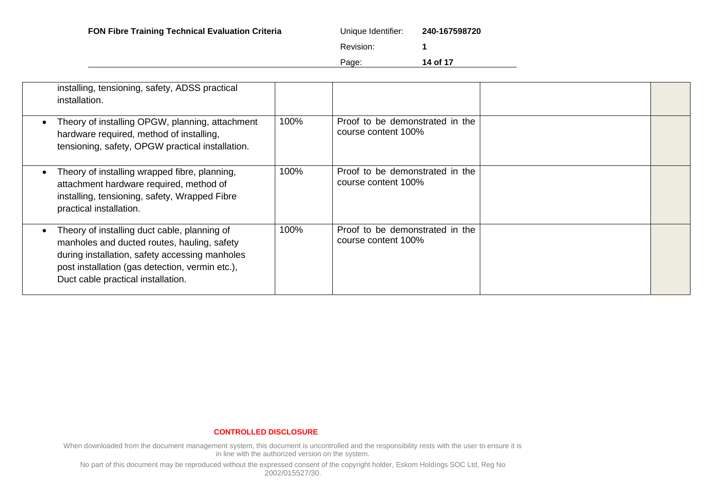| FON Fibre Training Technical Evaluation Criteria<br>Unique Identifier: | 240-167598720 |
|------------------------------------------------------------------------|---------------|
|------------------------------------------------------------------------|---------------|

| que Identifier: | 240-167598720 |
|-----------------|---------------|
|                 |               |

Page: **14 of 17**

| installing, tensioning, safety, ADSS practical<br>installation.                                                                                                                                                                        |      |                                                        |  |
|----------------------------------------------------------------------------------------------------------------------------------------------------------------------------------------------------------------------------------------|------|--------------------------------------------------------|--|
| Theory of installing OPGW, planning, attachment<br>hardware required, method of installing,<br>tensioning, safety, OPGW practical installation.                                                                                        | 100% | Proof to be demonstrated in the<br>course content 100% |  |
| Theory of installing wrapped fibre, planning,<br>attachment hardware required, method of<br>installing, tensioning, safety, Wrapped Fibre<br>practical installation.                                                                   | 100% | Proof to be demonstrated in the<br>course content 100% |  |
| Theory of installing duct cable, planning of<br>manholes and ducted routes, hauling, safety<br>during installation, safety accessing manholes<br>post installation (gas detection, vermin etc.),<br>Duct cable practical installation. | 100% | Proof to be demonstrated in the<br>course content 100% |  |

#### **CONTROLLED DISCLOSURE**

When downloaded from the document management system, this document is uncontrolled and the responsibility rests with the user to ensure it is in line with the authorized version on the system.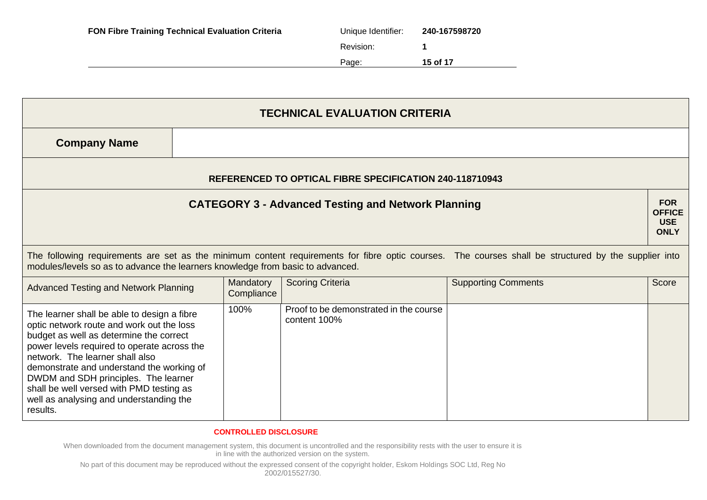| <b>FON Fibre Training Technical Evaluation Criteria</b> | Unique Identifier: | 240-167598720 |
|---------------------------------------------------------|--------------------|---------------|
|                                                         | Revision:          |               |
|                                                         | Page:              | 15 of 17      |

| <b>TECHNICAL EVALUATION CRITERIA</b>                                                                                                                                                                                                                                                                                                                                                                          |  |                         |                                                        |                            |                                                          |
|---------------------------------------------------------------------------------------------------------------------------------------------------------------------------------------------------------------------------------------------------------------------------------------------------------------------------------------------------------------------------------------------------------------|--|-------------------------|--------------------------------------------------------|----------------------------|----------------------------------------------------------|
| <b>Company Name</b>                                                                                                                                                                                                                                                                                                                                                                                           |  |                         |                                                        |                            |                                                          |
| <b>REFERENCED TO OPTICAL FIBRE SPECIFICATION 240-118710943</b>                                                                                                                                                                                                                                                                                                                                                |  |                         |                                                        |                            |                                                          |
| <b>CATEGORY 3 - Advanced Testing and Network Planning</b>                                                                                                                                                                                                                                                                                                                                                     |  |                         |                                                        |                            | <b>FOR</b><br><b>OFFICE</b><br><b>USE</b><br><b>ONLY</b> |
| The following requirements are set as the minimum content requirements for fibre optic courses. The courses shall be structured by the supplier into<br>modules/levels so as to advance the learners knowledge from basic to advanced.                                                                                                                                                                        |  |                         |                                                        |                            |                                                          |
| <b>Advanced Testing and Network Planning</b>                                                                                                                                                                                                                                                                                                                                                                  |  | Mandatory<br>Compliance | <b>Scoring Criteria</b>                                | <b>Supporting Comments</b> | Score                                                    |
| The learner shall be able to design a fibre<br>optic network route and work out the loss<br>budget as well as determine the correct<br>power levels required to operate across the<br>network. The learner shall also<br>demonstrate and understand the working of<br>DWDM and SDH principles. The learner<br>shall be well versed with PMD testing as<br>well as analysing and understanding the<br>results. |  | 100%                    | Proof to be demonstrated in the course<br>content 100% |                            |                                                          |

When downloaded from the document management system, this document is uncontrolled and the responsibility rests with the user to ensure it is in line with the authorized version on the system.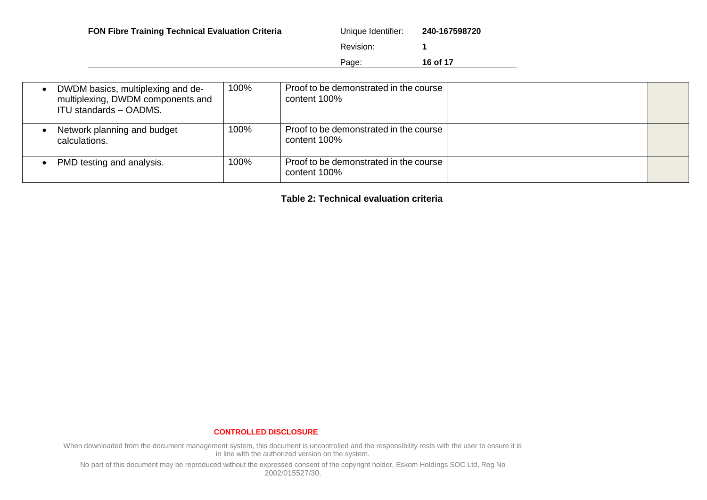|                   | <b>FON Fibre Training Technical Evaluation Criteria</b> | Unique Identifier: | 240-167598720 |
|-------------------|---------------------------------------------------------|--------------------|---------------|
|                   |                                                         | Revision:          |               |
| 16 of 17<br>Page: |                                                         |                    |               |

| DWDM basics, multiplexing and de-<br>multiplexing, DWDM components and<br><b>ITU standards - OADMS.</b> | 100% | Proof to be demonstrated in the course<br>content 100% |  |
|---------------------------------------------------------------------------------------------------------|------|--------------------------------------------------------|--|
| Network planning and budget<br>calculations.                                                            | 100% | Proof to be demonstrated in the course<br>content 100% |  |
| PMD testing and analysis.                                                                               | 100% | Proof to be demonstrated in the course<br>content 100% |  |

**Table 2: Technical evaluation criteria**

#### **CONTROLLED DISCLOSURE**

When downloaded from the document management system, this document is uncontrolled and the responsibility rests with the user to ensure it is in line with the authorized version on the system.